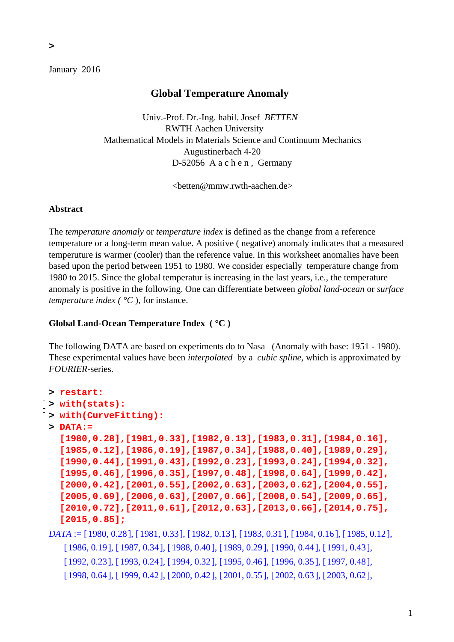January 2016

**>** 

# **Global Temperature Anomaly**

 Univ.-Prof. Dr.-Ing. habil. Josef *BETTEN* RWTH Aachen University Mathematical Models in Materials Science and Continuum Mechanics Augustinerbach 4-20 D-52056 A a c h e n, Germany

 $\langle \text{better} @ \text{mmw.rwh-aachen.de} \rangle$ 

## **Abstract**

The *temperature anomaly* or *temperature index* is defined as the change from a reference temperature or a long-term mean value. A positive ( negative) anomaly indicates that a measured temperuture is warmer (cooler) than the reference value. In this worksheet anomalies have been based upon the period between 1951 to 1980. We consider especially temperature change from 1980 to 2015. Since the global temperatur is increasing in the last years, i.e., the temperature anomaly is positive in the following. One can differentiate between *global land-ocean* or *surface temperature index (* $\degree$ *C)*, for instance.

## **Global Land-Ocean Temperature Index ( °C )**

The following DATA are based on experiments do to Nasa (Anomaly with base: 1951 - 1980). These experimental values have been *interpolated* by a *cubic spline,* which is approximated by *FOURIER-*series.

```
> restart:
> with(stats):
> with(CurveFitting):
 > DATA:= 
   [1980,0.28],[1981,0.33],[1982,0.13],[1983,0.31],[1984,0.16], 
   [1985,0.12],[1986,0.19],[1987,0.34],[1988,0.40],[1989,0.29], 
   [1990,0.44],[1991,0.43],[1992,0.23],[1993,0.24],[1994,0.32], 
   [1995,0.46],[1996,0.35],[1997,0.48],[1998,0.64],[1999,0.42], 
   [2000,0.42],[2001,0.55],[2002,0.63],[2003,0.62],[2004,0.55], 
   [2005,0.69],[2006,0.63],[2007,0.66],[2008,0.54],[2009,0.65], 
   [2010,0.72],[2011,0.61],[2012,0.63],[2013,0.66],[2014,0.75], 
   [2015,0.85];
 DATA := [ 1980, 0.28 ], [ 1981, 0.33 ], [ 1982, 0.13 ], [ 1983, 0.31 ], [ 1984, 0.16 ], [ 1985, 0.12 ],
```
[  $1986, 0.19$ ], [  $1987, 0.34$ ], [  $1988, 0.40$ ], [  $1989, 0.29$ ], [  $1990, 0.44$ ], [  $1991, 0.43$ ], [ 1992, 0.23 ], [ 1993, 0.24 ], [ 1994, 0.32 ], [ 1995, 0.46 ], [ 1996, 0.35 ], [ 1997, 0.48 ],

 $[1998, 0.64], [1999, 0.42], [2000, 0.42], [2001, 0.55], [2002, 0.63], [2003, 0.62],$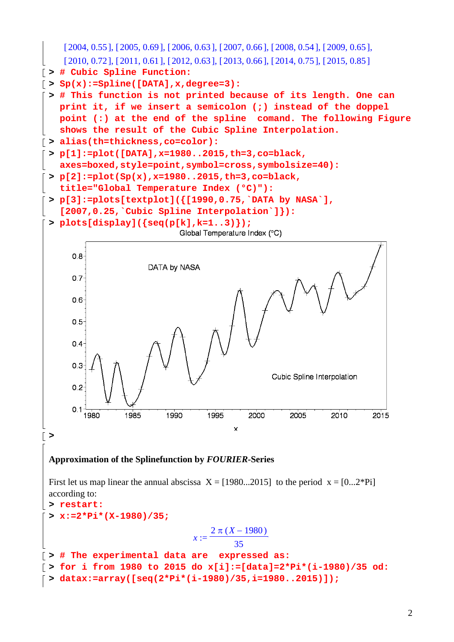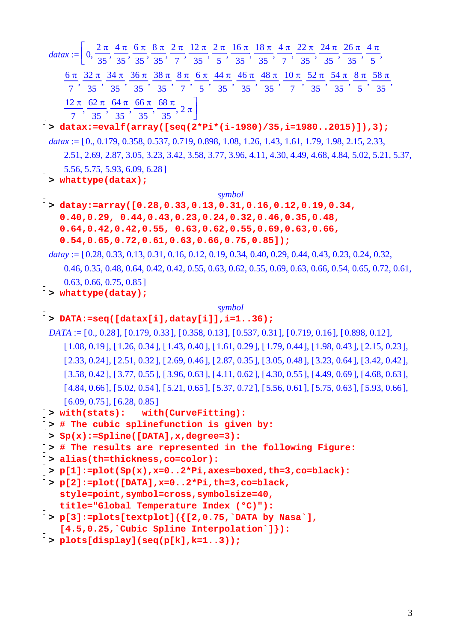| datax := $\left[0, \frac{2\pi}{35}, \frac{4\pi}{35}, \frac{6\pi}{35}, \frac{8\pi}{35}, \frac{2\pi}{7}, \frac{12\pi}{35}, \frac{2\pi}{5}, \frac{16\pi}{35}, \frac{18\pi}{35}, \frac{4\pi}{7}, \frac{22\pi}{35}, \frac{24\pi}{35}, \frac{26\pi}{35}, \frac{4\pi}{5}, \frac{27\pi}{35}, \frac{28\pi}{35}, \frac{29\pi}{35}, \frac{21\pi}{35}, \frac{22\pi}{35}, \frac{23\pi}{3$ |
|------------------------------------------------------------------------------------------------------------------------------------------------------------------------------------------------------------------------------------------------------------------------------------------------------------------------------------------------------------------------------|
|                                                                                                                                                                                                                                                                                                                                                                              |
| $\frac{6\pi}{7}, \frac{32\pi}{35}, \frac{34\pi}{35}, \frac{36\pi}{35}, \frac{38\pi}{35}, \frac{8\pi}{7}, \frac{6\pi}{5}, \frac{44\pi}{35}, \frac{46\pi}{35}, \frac{48\pi}{35}, \frac{10\pi}{7}, \frac{52\pi}{35}, \frac{54\pi}{35}, \frac{8\pi}{5}, \frac{58\pi}{35},$                                                                                                       |
|                                                                                                                                                                                                                                                                                                                                                                              |
| $\frac{12 \pi}{7}, \frac{62 \pi}{35}, \frac{64 \pi}{35}, \frac{66 \pi}{35}, \frac{68 \pi}{35}, 2 \pi$                                                                                                                                                                                                                                                                        |
|                                                                                                                                                                                                                                                                                                                                                                              |
| > datax:=evalf(array([seq(2*Pi*(i-1980)/35,i=19802015)]),3);                                                                                                                                                                                                                                                                                                                 |
| $datax := [0., 0.179, 0.358, 0.537, 0.719, 0.898, 1.08, 1.26, 1.43, 1.61, 1.79, 1.98, 2.15, 2.33,$                                                                                                                                                                                                                                                                           |
| 2.51, 2.69, 2.87, 3.05, 3.23, 3.42, 3.58, 3.77, 3.96, 4.11, 4.30, 4.49, 4.68, 4.84, 5.02, 5.21, 5.37,                                                                                                                                                                                                                                                                        |
| 5.56, 5.75, 5.93, 6.09, 6.28]                                                                                                                                                                                                                                                                                                                                                |
| > whattype(datax);                                                                                                                                                                                                                                                                                                                                                           |
| symbol                                                                                                                                                                                                                                                                                                                                                                       |
| > datay:=array([0.28,0.33,0.13,0.31,0.16,0.12,0.19,0.34,                                                                                                                                                                                                                                                                                                                     |
| $0.40, 0.29, 0.44, 0.43, 0.23, 0.24, 0.32, 0.46, 0.35, 0.48,$                                                                                                                                                                                                                                                                                                                |
| $0.64, 0.42, 0.42, 0.55, 0.63, 0.62, 0.55, 0.69, 0.63, 0.66,$<br>$0.54, 0.65, 0.72, 0.61, 0.63, 0.66, 0.75, 0.85]$ ;                                                                                                                                                                                                                                                         |
| $datay := [0.28, 0.33, 0.13, 0.31, 0.16, 0.12, 0.19, 0.34, 0.40, 0.29, 0.44, 0.43, 0.23, 0.24, 0.32,$                                                                                                                                                                                                                                                                        |
| 0.46, 0.35, 0.48, 0.64, 0.42, 0.42, 0.55, 0.63, 0.62, 0.55, 0.69, 0.63, 0.66, 0.54, 0.65, 0.72, 0.61,                                                                                                                                                                                                                                                                        |
|                                                                                                                                                                                                                                                                                                                                                                              |
| 0.63, 0.66, 0.75, 0.85<br>> whattype(datay);                                                                                                                                                                                                                                                                                                                                 |
| symbol                                                                                                                                                                                                                                                                                                                                                                       |
| > DATA:=seq([datax[i],datay[i]],i=136);                                                                                                                                                                                                                                                                                                                                      |
| $DATA := [0, 0.28], [0.179, 0.33], [0.358, 0.13], [0.537, 0.31], [0.719, 0.16], [0.898, 0.12],$                                                                                                                                                                                                                                                                              |
| $[1.08, 0.19]$ , $[1.26, 0.34]$ , $[1.43, 0.40]$ , $[1.61, 0.29]$ , $[1.79, 0.44]$ , $[1.98, 0.43]$ , $[2.15, 0.23]$ ,                                                                                                                                                                                                                                                       |
| $[2.33, 0.24], [2.51, 0.32], [2.69, 0.46], [2.87, 0.35], [3.05, 0.48], [3.23, 0.64], [3.42, 0.42],$                                                                                                                                                                                                                                                                          |
| $[3.58, 0.42]$ , $[3.77, 0.55]$ , $[3.96, 0.63]$ , $[4.11, 0.62]$ , $[4.30, 0.55]$ , $[4.49, 0.69]$ , $[4.68, 0.63]$ ,                                                                                                                                                                                                                                                       |
| $[4.84, 0.66], [5.02, 0.54], [5.21, 0.65], [5.37, 0.72], [5.56, 0.61], [5.75, 0.63], [5.93, 0.66],$                                                                                                                                                                                                                                                                          |
| [6.09, 0.75], [6.28, 0.85]                                                                                                                                                                                                                                                                                                                                                   |
| $\lceil$ > with(stats): with(CurveFitting):                                                                                                                                                                                                                                                                                                                                  |
| $\lceil$ > # The cubic splinefunction is given by:                                                                                                                                                                                                                                                                                                                           |
| $\lceil$ > Sp(x):=Spline([DATA], x, degree=3):                                                                                                                                                                                                                                                                                                                               |
| [> # The results are represented in the following Figure:                                                                                                                                                                                                                                                                                                                    |
| $\lceil$ > alias(th=thickness, co=color):                                                                                                                                                                                                                                                                                                                                    |
| $[ > p[1]:=plot(Sp(x),x=02*Pi,axes=boxed,th=3,co=black):$<br>$\lceil$ > p[2]:=plot([DATA], x=02*Pi, th=3, co=black,                                                                                                                                                                                                                                                          |
| style=point, symbol=cross, symbolsize=40,                                                                                                                                                                                                                                                                                                                                    |
| title="Global Temperature Index (°C)"):                                                                                                                                                                                                                                                                                                                                      |
| > $p[3]:=plots[textplot]({[2,0.75,`DATA by Nasa`],$                                                                                                                                                                                                                                                                                                                          |
| $[4.5, 0.25,$ Cubic Spline Interpolation ] :                                                                                                                                                                                                                                                                                                                                 |
| > $plots[display](seq(p[k], k=13));$                                                                                                                                                                                                                                                                                                                                         |
|                                                                                                                                                                                                                                                                                                                                                                              |
|                                                                                                                                                                                                                                                                                                                                                                              |
|                                                                                                                                                                                                                                                                                                                                                                              |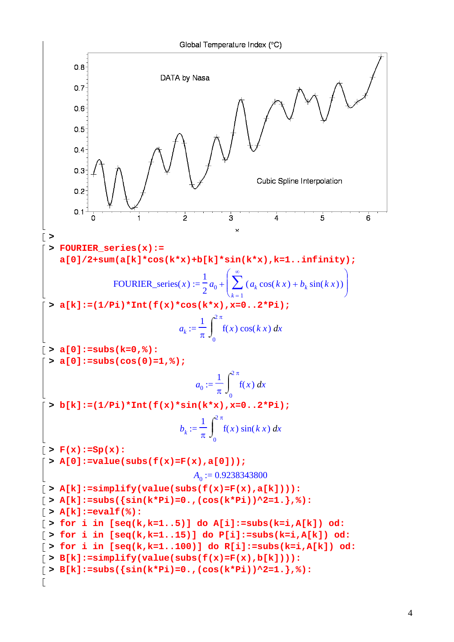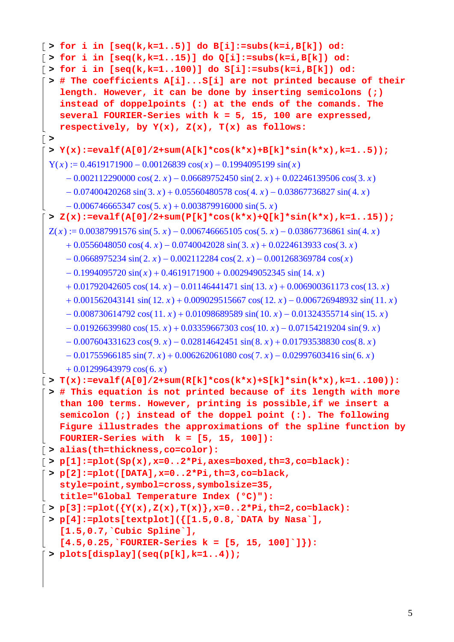```
\lceil > for i in [seq(k,k=1..5)] do B[i]:=subs(k=i,B[k]) od:
> for i in [seq(k,k=1..15)] do Q[i]:=subs(k=i,B[k]) od:
> for i in [seq(k,k=1..100)] do S[i]:=subs(k=i,B[k]) od:
> # The coefficients A[i]...S[i] are not printed because of their 
    length. However, it can be done by inserting semicolons (;) 
    instead of doppelpoints (:) at the ends of the comands. The 
    several FOURIER-Series with k = 5, 15, 100 are expressed, 
   respectively, by Y(x), Z(x), T(x) as follows: 
> 
 > Y(x):=evalf(A[0]/2+sum(A[k]*cos(k*x)+B[k]*sin(k*x),k=1..5));
 Y(x) := 0.4619171900 - 0.00126839 \cos(x) - 0.1994095199 \sin(x)-0.002112290000 \cos(2 \cdot x) - 0.06689752450 \sin(2 \cdot x) + 0.02246139506 \cos(3 \cdot x)-0.07400420268 \sin(3, x) + 0.05560480578 \cos(4, x) - 0.03867736827 \sin(4, x)-0.006746665347 \cos(5, x) + 0.003879916000 \sin(5, x)> Z(x):=evalf(A[0]/2+sum(P[k]*cos(k*x)+Q[k]*sin(k*x),k=1..15));
 Z(x) := 0.00387991576 \sin(5x) - 0.006746665105 \cos(5x) - 0.03867736861 \sin(4x)+ 0.0556048050 \cos(4 \cdot x) - 0.0740042028 \sin(3 \cdot x) + 0.0224613933 \cos(3 \cdot x)-0.0668975234 \sin(2 \cdot x) - 0.002112284 \cos(2 \cdot x) - 0.001268369784 \cos(x)-0.1994095720 \sin(x) + 0.4619171900 + 0.002949052345 \sin(14. x)+ 0.01792042605 \cos(14. x) - 0.01146441471 \sin(13. x) + 0.006900361173 \cos(13. x)+ 0.001562043141 \sin( 12, x) + 0.009029515667 \cos( 12, x) - 0.006726948932 \sin( 11, x)-0.008730614792 \cos(11. x) + 0.01098689589 \sin(10. x) - 0.01324355714 \sin(15. x)-0.01926639980 \cos(15. x) + 0.03359667303 \cos(10. x) - 0.07154219204 \sin(9. x)-0.007604331623 \cos(9, x) - 0.02814642451 \sin(8, x) + 0.01793538830 \cos(8, x)-0.01755966185 \sin(7, x) + 0.006262061080 \cos(7, x) - 0.02997603416 \sin(6, x)+ 0.01299643979 \cos(6, x)\lceil > T(x):=evalf(A[0]/2+sum(R[k]*cos(k*x)+S[k]*sin(k*x),k=1..100)):
 > # This equation is not printed because of its length with more 
   than 100 terms. However, printing is possible,if we insert a 
    semicolon (;) instead of the doppel point (:). The following 
   Figure illustrades the approximations of the spline function by 
   FOURIER-Series with k = [5, 15, 100]):
> alias(th=thickness,co=color):
> p[1]:=plot(Sp(x),x=0..2*Pi,axes=boxed,th=3,co=black):
> p[2]:=plot([DATA],x=0..2*Pi,th=3,co=black, 
    style=point,symbol=cross,symbolsize=35, 
   title="Global Temperature Index (°C)"): 
\lceil > p[3]:=plot({Y(x),Z(x),T(x)},x=0..2*Pi,th=2,co=black):> p[4]:=plots[textplot]({[1.5,0.8,`DATA by Nasa`], 
    [1.5,0.7,`Cubic Spline`], 
    [4.5,0.25,`FOURIER-Series k = [5, 15, 100]`]}):
 > plots[display](seq(p[k],k=1..4));
```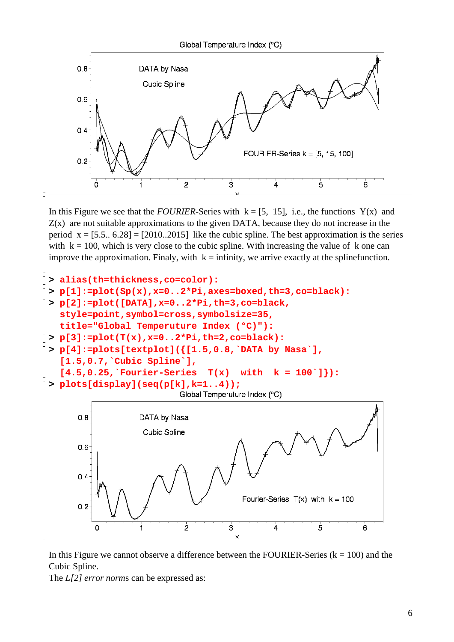

 $Z(x)$  are not suitable approximations to the given DATA, because they do not increase in the period  $x = [5.5, 6.28] = [2010, 2015]$  like the cubic spline. The best approximation is the series with  $k = 100$ , which is very close to the cubic spline. With increasing the value of k one can improve the approximation. Finaly, with  $k =$  infinity, we arrive exactly at the splinefunction.



In this Figure we cannot observe a difference between the FOURIER-Series ( $k = 100$ ) and the Cubic Spline.

The *L[2] error norm*s can be expressed as: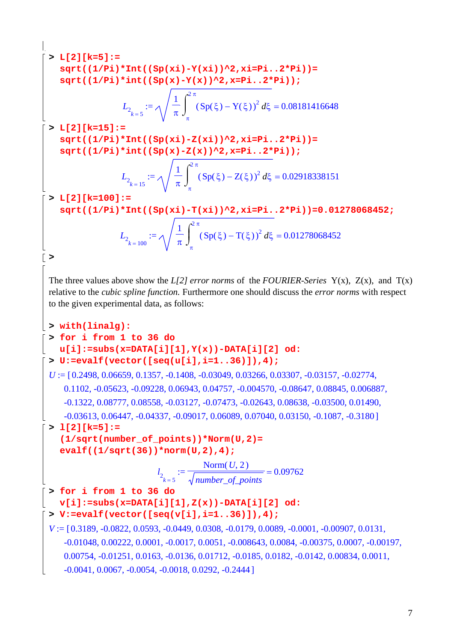```
> L[2][k=5]:= 
    sqrt((1/Pi)*Int((Sp(xi)-Y(xi))^2,xi=Pi..2*Pi))= 
    sqrt((1/Pi)*int((Sp(x)-Y(x))^2,x=Pi..2*Pi));
                    L_{2_{k=5}} := = 
                                 1
                                 π
                                   \int_{0}^{2\pi} \left(Sp(\xi)-Y(\xi)\right)^2 d\xi\intπ
                                    2 π
                                      (Sp(\xi) - Y(\xi))^2 d\xi = 0.08181416648> L[2][k=15]:= 
    sqrt((1/Pi)*Int((Sp(xi)-Z(xi))^2,xi=Pi..2*Pi))= 
    sqrt((1/Pi)*int((Sp(x)-Z(x))^2,x=Pi..2*Pi));
                    L_{2_{k=15}} := = 
                                 1
                                 π
                                   \int_{0}^{2\pi} \left(Sp(\xi)-Z(\xi)\right)^2 d\xi\intπ
                                     2 π
                                       (Sp(\xi) - Z(\xi))^2 d\xi = 0.02918338151> L[2][k=100]:= 
    sqrt((1/Pi)*Int((Sp(xi)-T(xi))^2,xi=Pi..2*Pi))=0.01278068452;
                   L_{2_k} := 100} = 
                                  1
                                  π
                                    \int_{0}^{2\pi} (Sp(\xi) - T(\xi))^2 d\xi\intπ
                                     2 π
                                       (Sp(\xi) - T(\xi))^2 d\xi = 0.01278068452> 
 The three values above show the L[2] error norms of the FOURIER-Series Y(x), Z(x), and T(x) 
 relative to the cubic spline function. Furthermore one should discuss the error norms with respect 
 to the given experimental data, as follows:
> with(linalg):
 > for i from 1 to 36 do 
    u[i]:=subs(x=DATA[i][1],Y(x))-DATA[i][2] od:
 > U:=evalf(vector([seq(u[i],i=1..36)]),4);
 U := [0.2498, 0.06659, 0.1357, -0.1408, -0.03049, 0.03266, 0.03307, -0.03157, -0.02774,0.1102, -0.05623, -0.09228, 0.06943, 0.04757, -0.004570, -0.08647, 0.08845, 0.006887,
     -0.1322, 0.08777, 0.08558, -0.03127, -0.07473, -0.02643, 0.08638, -0.03500, 0.01490
     -0.03613, 0.06447, -0.04337, -0.09017, 0.06089, 0.07040, 0.03150, -0.1087, -0.3180]> l[2][k=5]:= 
    (1/sqrt(number_of_points))*Norm(U,2)= 
    evalf((1/sqrt(36))*norm(U,2),4);
                             l_{2_{k=5}} := = 
                                        Norm(U, 2)number_of_points
                                                          0.09762
 > for i from 1 to 36 do 
   v[i]:=subs(x=DATA[i][1],Z(x))-DATA[i][2] od:
 > V:=evalf(vector([seq(v[i],i=1..36)]),4);
 V := [0.3189, -0.0822, 0.0593, -0.0449, 0.0308, -0.0179, 0.0089, -0.0001, -0.00907, 0.0131,-0.01048, 0.00222, 0.0001, -0.0017, 0.0051, -0.008643, 0.0084, -0.00375, 0.0007, -0.00197,0.00754, -0.01251, 0.0163, -0.0136, 0.01712, -0.0185, 0.0182, -0.0142, 0.00834, 0.0011,
     -0.0041, 0.0067, -0.0054, -0.0018, 0.0292, -0.2444
```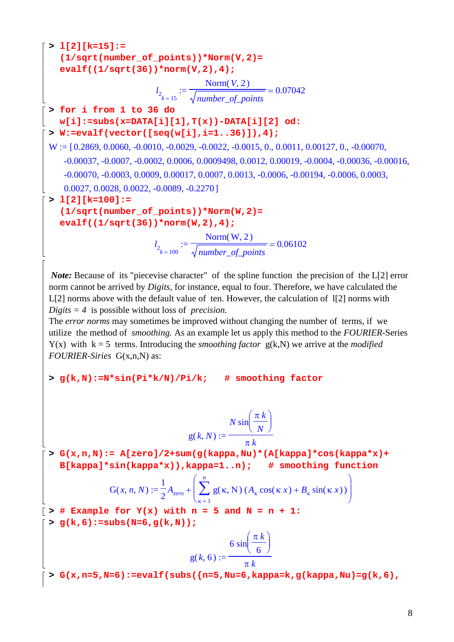**> l[2][k=15]:= (1/sqrt(number\_of\_points))\*Norm(V,2)= evalf((1/sqrt(36))\*norm(V,2),4);** *l* := 2 *k* = 15 = Norm , ( ) *V* 2 *number\_of\_points* 0.07042 **> for i from 1 to 36 do w[i]:=subs(x=DATA[i][1],T(x))-DATA[i][2] od: > W:=evalf(vector([seq(w[i],i=1..36)]),4);** W 0.2869 0.0060 -0.0010 -0.0029 -0.0022 -0.0015 0. 0.0011 0.00127 0. -0.00070 := [ , , , , , ,, , ,, , -0.00037 -0.0007 -0.0002 0.0006 0.0009498 0.0012 0.00019 -0.0004 -0.00036 -0.00016 , , ,, ,, , , , , -0.00070 -0.0003 0.0009 0.00017 0.0007 0.0013 -0.0006 -0.00194 -0.0006 0.0003 , ,, ,,, , , ,, 0.0027 0.0028 0.0022 -0.0089 -0.2270 ,,, , ] **> l[2][k=100]:= (1/sqrt(number\_of\_points))\*Norm(W,2)= evalf((1/sqrt(36))\*norm(W,2),4);** *l* := 2 *k* = 100 = Norm , ( ) W 2 *number\_of\_points* 0.06102 *Note:* Because of its "piecevise character" of the spline function the precision of the L[2] error norm cannot be arrived by *Digits,* for instance, equal to four. Therefore, we have calculated the L[2] norms above with the default value of ten. However, the calculation of l[2] norms with *Digits = 4* is possible without loss of *precision.* The *error norms* may sometimes be improved without changing the number of terms, if we utilize the method of *smoothing.* As an example let us apply this method to the *FOURIER-*Series Y(x) with k = 5 terms. Introducing the *smoothing factor* g(k,N) we arrive at the *modified FOURIER-Siries* G(x,n,N) as: **> g(k,N):=N\*sin(Pi\*k/N)/Pi/k; # smoothing factor** g , ( ) *k N* := *N* ⎛ ⎝ ⎜⎜ <sup>⎞</sup> ⎠ <sup>⎟</sup> sin <sup>⎟</sup> <sup>π</sup> *<sup>k</sup> N* π *k* **> G(x,n,N):= A[zero]/2+sum(g(kappa,Nu)\*(A[kappa]\*cos(kappa\*x)+ B[kappa]\*sin(kappa\*x)),kappa=1..n); # smoothing function** G ,, ( ) *xnN* := + 1 2 *Azero* ⎛ ⎝ ⎜ ⎜ ⎜ ⎞ ⎠ ⎟ <sup>⎟</sup> <sup>∑</sup> <sup>⎟</sup> κ = <sup>1</sup> *n* g , ( ) κ Ν ( ) *A* + κ cos( ) κ *x B*<sup>κ</sup> sin( ) κ *x* **> # Example for Y(x) with n = 5 and N = n + 1: > g(k,6):=subs(N=6,g(k,N));** g , ( ) *k* 6 := 6 ⎛ ⎝ ⎜⎜ <sup>⎞</sup> ⎠ <sup>⎟</sup> sin <sup>⎟</sup> <sup>π</sup> *<sup>k</sup>* 6 π *k* **> G(x,n=5,N=6):=evalf(subs({n=5,Nu=6,kappa=k,g(kappa,Nu)=g(k,6),**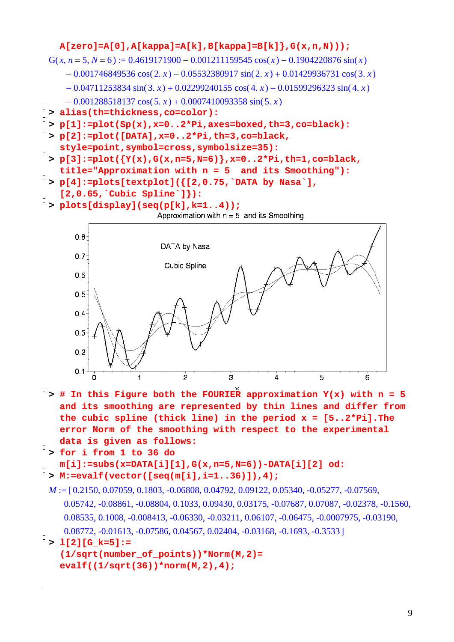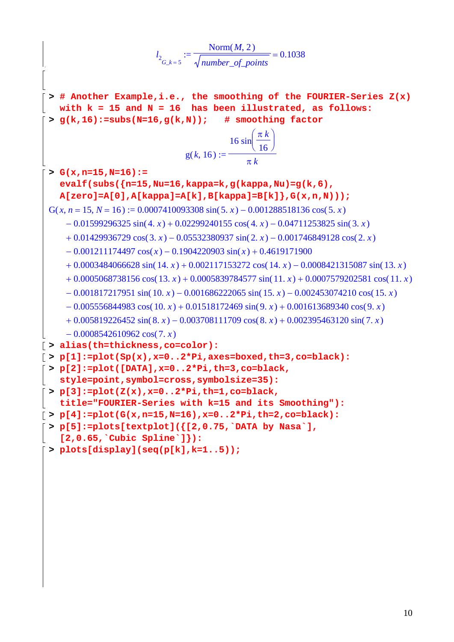$$
l_{2_{G,k-5}} := \frac{\text{Norm}(M, 2)}{\text{number_of-points}} = 0.1038
$$
\n
$$
\begin{bmatrix}\n\text{1}_{G,k-5} & \text{1}_{G,k} & \text{1}_{G,k} & \text{1}_{G,k} & \text{1}_{G,k} \\
\text{2}_{G,k-5} & \text{1}_{G,k} & \text{1}_{G,k} & \text{1}_{G,k} & \text{1}_{G,k} & \text{1}_{G,k} & \text{1}_{G,k} \\
\text{2}_{G,k,16} & \text{1}_{G,k} & \text{1}_{G,k} & \text{1}_{G,k} & \text{1}_{G,k} & \text{1}_{G,k} & \text{1}_{G,k} \\
\text{3}_{G,k,16} & \text{1}_{G,k} & \text{1}_{G,k} & \text{1}_{G,k} & \text{1}_{G,k} & \text{1}_{G,k} \\
\text{4}_{G,k,16} & \text{5}_{G,k} & \text{1}_{G,k} & \text{1}_{G,k} & \text{1}_{G,k} & \text{1}_{G,k} \\
\text{5}_{G,k,16} & \text{1}_{G,k} & \text{1}_{G,k} & \text{1}_{G,k} & \text{1}_{G,k} & \text{1}_{G,k} \\
\text{5}_{G,k,16} & \text{1}_{G,k} & \text{1}_{G,k} & \text{1}_{G,k} & \text{1}_{G,k} & \text{1}_{G,k} & \text{1}_{G,k} \\
\text{6}_{G,k,16} & \text{1}_{G,k} & \text{1}_{G,k} & \text{1}_{G,k} & \text{1}_{G,k} & \text{1}_{G,k} & \text{1}_{G,k} \\
\text{7}_{G,k,16} & \text{8}_{G,k} & \text{1}_{G,k} & \text{1}_{G,k} & \text{1}_{G,k} & \text{1}_{G,k} \\
\text{8}_{G,k,16} & \text{1}_{G,k} & \text{1}_{G,k} & \text{1}_{G,k} & \text{1}_{G,k} & \text{1}_{G,k} \\
\text{5}_{G,k,16} & \text{1}_{G,k} & \text{1}_{G,k} & \text{1}_{G,k} & \text{1}_{G,k} & \text{1}_{G,k} \\
\text{5}_{G,k,16} & \text{1}_{G,k} & \text{1}_{G,k} & \text{1}_{G,k} & \text{1}_{G,k} & \text{1}_{G
$$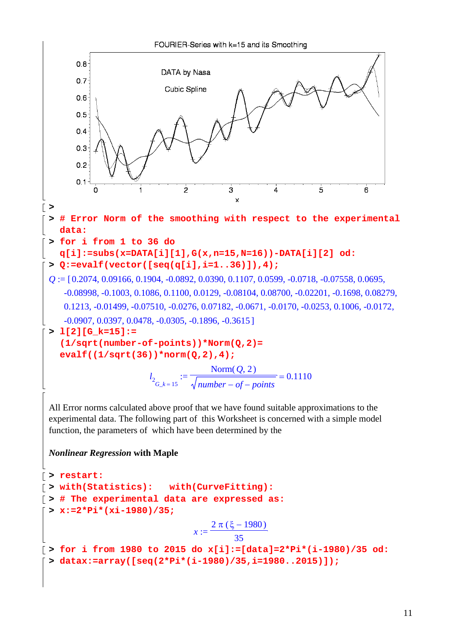

*Nonlinear Regression* **with Maple**

```
> restart:
> with(Statistics): with(CurveFitting):
> # The experimental data are expressed as:
 > x:=2*Pi*(xi-1980)/35;
                            x :=2 \pi (\xi - 1980)35
> for i from 1980 to 2015 do x[i]:=[data]=2*Pi*(i-1980)/35 od:
 > datax:=array([seq(2*Pi*(i-1980)/35,i=1980..2015)]);
```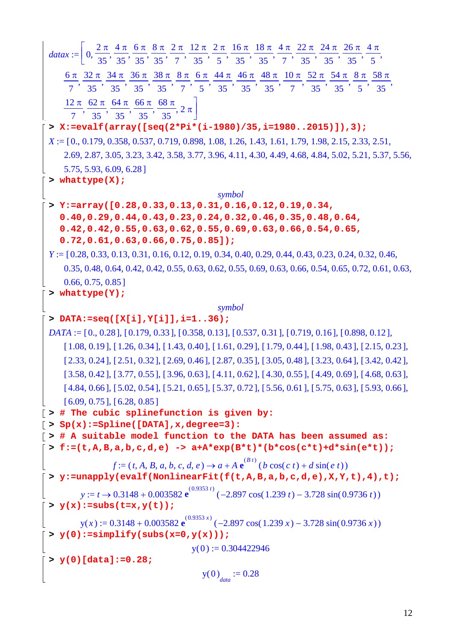| $datax := \left[0, \frac{2\pi}{35}, \frac{4\pi}{35}, \frac{6\pi}{35}, \frac{8\pi}{35}, \frac{2\pi}{7}, \frac{12\pi}{35}, \frac{2\pi}{5}, \frac{16\pi}{35}, \frac{18\pi}{35}, \frac{4\pi}{7}, \frac{22\pi}{35}, \frac{24\pi}{35}, \frac{26\pi}{35}, \frac{4\pi}{5}, \frac{27\pi}{75}\right]$ |
|---------------------------------------------------------------------------------------------------------------------------------------------------------------------------------------------------------------------------------------------------------------------------------------------|
|                                                                                                                                                                                                                                                                                             |
| 6π 32π 34π 36π 38π 8π 6π 44π 46π 48π $10$ π 52π 54π 8π 58π                                                                                                                                                                                                                                  |
|                                                                                                                                                                                                                                                                                             |
| $\left[\frac{12 \pi}{7}, \frac{62 \pi}{35}, \frac{64 \pi}{35}, \frac{66 \pi}{35}, \frac{68 \pi}{35}, 2 \pi\right]$                                                                                                                                                                          |
|                                                                                                                                                                                                                                                                                             |
| > X:=evalf(array([seq(2*Pi*(i-1980)/35,i=19802015)]),3);                                                                                                                                                                                                                                    |
| $X := [0, 0.179, 0.358, 0.537, 0.719, 0.898, 1.08, 1.26, 1.43, 1.61, 1.79, 1.98, 2.15, 2.33, 2.51,$                                                                                                                                                                                         |
| 2.69, 2.87, 3.05, 3.23, 3.42, 3.58, 3.77, 3.96, 4.11, 4.30, 4.49, 4.68, 4.84, 5.02, 5.21, 5.37, 5.56,                                                                                                                                                                                       |
| 5.75, 5.93, 6.09, 6.28]                                                                                                                                                                                                                                                                     |
| > whattype $(X)$ ;                                                                                                                                                                                                                                                                          |
| symbol                                                                                                                                                                                                                                                                                      |
| $>$ Y:=array([0.28,0.33,0.13,0.31,0.16,0.12,0.19,0.34,<br>$0.40, 0.29, 0.44, 0.43, 0.23, 0.24, 0.32, 0.46, 0.35, 0.48, 0.64,$                                                                                                                                                               |
| $0.42, 0.42, 0.55, 0.63, 0.62, 0.55, 0.69, 0.63, 0.66, 0.54, 0.65,$                                                                                                                                                                                                                         |
| $0.72, 0.61, 0.63, 0.66, 0.75, 0.85]$ ;                                                                                                                                                                                                                                                     |
| $Y := [0.28, 0.33, 0.13, 0.31, 0.16, 0.12, 0.19, 0.34, 0.40, 0.29, 0.44, 0.43, 0.23, 0.24, 0.32, 0.46,$                                                                                                                                                                                     |
| 0.35, 0.48, 0.64, 0.42, 0.42, 0.55, 0.63, 0.62, 0.55, 0.69, 0.63, 0.66, 0.54, 0.65, 0.72, 0.61, 0.63,                                                                                                                                                                                       |
| 0.66, 0.75, 0.85                                                                                                                                                                                                                                                                            |
| > whattype $(Y)$ ;                                                                                                                                                                                                                                                                          |
| symbol                                                                                                                                                                                                                                                                                      |
| > DATA:=seq([X[i], Y[i]], i=136);                                                                                                                                                                                                                                                           |
| $DATA := [0, 0.28], [0.179, 0.33], [0.358, 0.13], [0.537, 0.31], [0.719, 0.16], [0.898, 0.12],$                                                                                                                                                                                             |
| $[1.08, 0.19]$ , $[1.26, 0.34]$ , $[1.43, 0.40]$ , $[1.61, 0.29]$ , $[1.79, 0.44]$ , $[1.98, 0.43]$ , $[2.15, 0.23]$ ,                                                                                                                                                                      |
| $[2.33, 0.24], [2.51, 0.32], [2.69, 0.46], [2.87, 0.35], [3.05, 0.48], [3.23, 0.64], [3.42, 0.42],$                                                                                                                                                                                         |
| $[3.58, 0.42]$ , $[3.77, 0.55]$ , $[3.96, 0.63]$ , $[4.11, 0.62]$ , $[4.30, 0.55]$ , $[4.49, 0.69]$ , $[4.68, 0.63]$ ,                                                                                                                                                                      |
| $[4.84, 0.66], [5.02, 0.54], [5.21, 0.65], [5.37, 0.72], [5.56, 0.61], [5.75, 0.63], [5.93, 0.66],$                                                                                                                                                                                         |
| $[6.09, 0.75]$ , $[6.28, 0.85]$                                                                                                                                                                                                                                                             |
| $\lceil$ > # The cubic splinefunction is given by:                                                                                                                                                                                                                                          |
| $\lceil$ > Sp(x):=Spline([DATA], x, degree=3):                                                                                                                                                                                                                                              |
| $\lceil$ > # A suitable model function to the DATA has been assumed as:<br>$\bar{z}$ > f:=(t,A,B,a,b,c,d,e) -> a+A*exp(B*t)*(b*cos(c*t)+d*sin(e*t));                                                                                                                                        |
|                                                                                                                                                                                                                                                                                             |
| $f := (t, A, B, a, b, c, d, e) \rightarrow a + A e^{(B t)} (b \cos(c t) + d \sin(e t))$                                                                                                                                                                                                     |
| > y:=unapply(evalf(NonlinearFit(f(t,A,B,a,b,c,d,e),X,Y,t),4),t);                                                                                                                                                                                                                            |
| $y := t \rightarrow 0.3148 + 0.003582 \text{ e}^{(0.9353 t)} (-2.897 \cos(1.239 t) - 3.728 \sin(0.9736 t))$                                                                                                                                                                                 |
| $\mathbf{y}(\mathbf{x}) := \text{subs}(\mathsf{t} = \mathbf{x}, \mathbf{y}(\mathsf{t})).$                                                                                                                                                                                                   |
| $y(x) := 0.3148 + 0.003582 e^{(0.9353 x)} (-2.897 \cos(1.239 x) - 3.728 \sin(0.9736 x))$                                                                                                                                                                                                    |
| $\mathbf{y}(0)$ :=simplify(subs(x=0,y(x)));                                                                                                                                                                                                                                                 |
| $y(0) := 0.304422946$                                                                                                                                                                                                                                                                       |
| $> y(0)$ [data] := 0.28;                                                                                                                                                                                                                                                                    |
| $y(0)$ <sub>data</sub> := 0.28                                                                                                                                                                                                                                                              |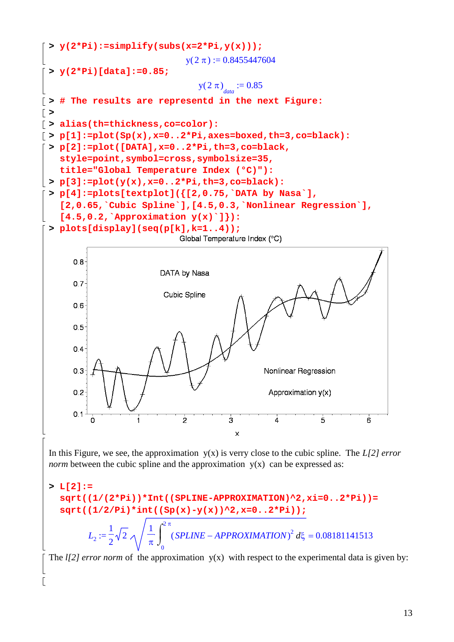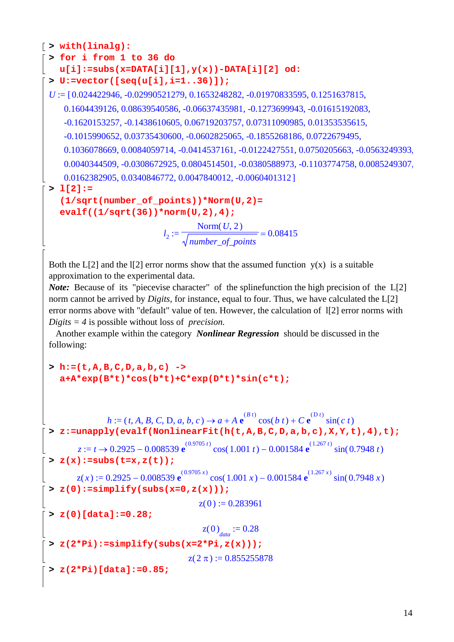```
> with(linalg):
 > for i from 1 to 36 do 
  u[i]:=subs(x=DATA[i][1],y(x))-DATA[i][2] od:
 > U:=vector([seq(u[i],i=1..36)]);
 U := [0.024422946, -0.02990521279, 0.1653248282, -0.01970833595, 0.1251637815,0.1604439126, 0.08639540586, -0.06637435981, -0.1273699943, -0.01615192083,
     -0.1620153257, -0.1438610605, 0.06719203757, 0.07311090985, 0.01353535615,
     -0.1015990652, 0.03735430600, -0.0602825065, -0.1855268186, 0.0722679495,
     0.1036078669, 0.0084059714, -0.0414537161, -0.0122427551, 0.0750205663, -0.0563249393,
     0.0040344509, -0.0308672925, 0.0804514501, -0.0380588973, -0.1103774758, 0.0085249307.
     0.0162382905, 0.0340846772, 0.0047840012, -0.0060401312> l[2]:= 
    (1/sqrt(number_of_points))*Norm(U,2)= 
    evalf((1/sqrt(36))*norm(U,2),4);
                             l_2 := \frac{2}{\sqrt{1 - \frac{1}{2}} \cdot \frac{1}{2}} =Norm(U, 2)0.08415
```
*number\_of\_points*

Both the L[2] and the I[2] error norms show that the assumed function  $y(x)$  is a suitable approximation to the experimental data.

*Note:* Because of its "piecevise character" of the splinefunction the high precision of the L[2] norm cannot be arrived by *Digits,* for instance, equal to four. Thus, we have calculated the L[2] error norms above with "default" value of ten. However, the calculation of l[2] error norms with *Digits = 4* is possible without loss of *precision.*

 Another example within the category *Nonlinear Regression* should be discussed in the following:

### **> h:=(t,A,B,C,D,a,b,c) -> a+A\*exp(B\*t)\*cos(b\*t)+C\*exp(D\*t)\*sin(c\*t);**

 $h := (t, A, B, C, D, a, b, c) \rightarrow a + A \cdot e^{(B \cdot t)} \cos(b \cdot t) + C \cdot e^{(D \cdot t)} \sin(c \cdot t)$ **> z:=unapply(evalf(NonlinearFit(h(t,A,B,C,D,a,b,c),X,Y,t),4),t);**  $z := t \rightarrow 0.2925 - 0.008539 \text{ e}^{(0.9705 t)} \cos(1.001 t) - 0.001584 \text{ e}^{(1.267 t)} \sin(0.7948 t)$ **> z(x):=subs(t=x,z(t));**  $z(x) := 0.2925 - 0.008539 e^{(0.9705 x)} \cos(1.001 x) - 0.001584 e^{(1.267 x)} \sin(0.7948 x)$ **> z(0):=simplify(subs(x=0,z(x)));**  $z( 0 ) := 0.283961$ **> z(0)[data]:=0.28;**  $z(0)$ <sub>data</sub> := 0.28 **> z(2\*Pi):=simplify(subs(x=2\*Pi,z(x)));**  $z( 2 \pi ) := 0.855255878$ **> z(2\*Pi)[data]:=0.85;**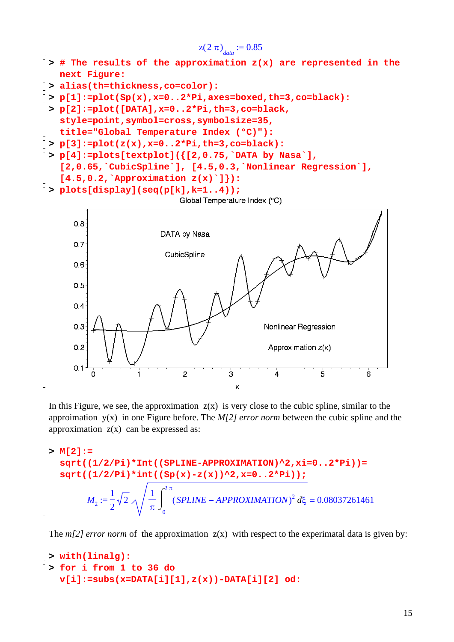

In this Figure, we see, the approximation  $z(x)$  is very close to the cubic spline, similar to the approimation y(x) in one Figure before. The *M[2] error norm* between the cubic spline and the approximation  $z(x)$  can be expressed as:

```
> M[2]:= 
   sqrt((1/2/Pi)*Int((SPLINE-APPROXIMATION)^2,xi=0..2*Pi))= 
   sqrt((1/2/Pi)*int((Sp(x)-z(x))^2,x=0..2*Pi));
           M_2 := \frac{1}{2}\sqrt{2} \sqrt{\frac{1}{\pi}} (SPLINE – APPROXIMATION)<sup>2</sup> d\xi =1
                 2
                     2
                            1
                            π
                              \int_{0}^{\infty} (SPLINE – APPROXIMATION)<sup>2</sup> d
                              \int\boldsymbol{0}2 π
                                  (SPLINE - APPROXIMATION)^2 d\xi = 0.08037261461
```
The  $m/2$  error norm of the approximation  $z(x)$  with respect to the experimatal data is given by:

```
> with(linalg):
> for i from 1 to 36 do 
  v[i]:=subs(x=DATA[i][1],z(x))-DATA[i][2] od:
```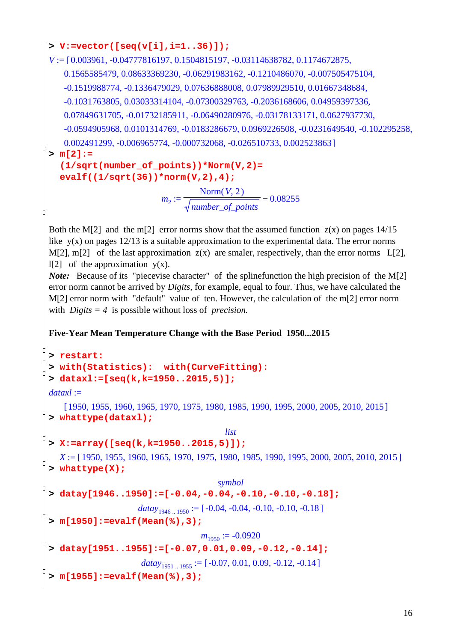```
> V:=vector([seq(v[i],i=1..36)]);
```
 $V := [0.003961, -0.04777816197, 0.1504815197, -0.03114638782, 0.1174672875,$ 0.1565585479, 0.08633369230, -0.06291983162, -0.1210486070, -0.007505475104, -0.1519988774, -0.1336479029, 0.07636888008, 0.07989929510, 0.01667348684, -0.1031763805, 0.03033314104, -0.07300329763, -0.2036168606, 0.04959397336, 0.07849631705, -0.01732185911, -0.06490280976, -0.03178133171, 0.0627937730, -0.0594905968, 0.0101314769, -0.0183286679, 0.0969226508, -0.0231649540, -0.102295258, 0.002491299, -0.006965774, -0.000732068, -0.026510733, 0.0025238631 **> m[2]:= (1/sqrt(number\_of\_points))\*Norm(V,2)=** 

**evalf((1/sqrt(36))\*norm(V,2),4);**

*m* := 2 =  $Norm(V, 2)$ *number\_of\_points* 0.08255

Both the M[2] and the m[2] error norms show that the assumed function  $z(x)$  on pages 14/15 like  $y(x)$  on pages 12/13 is a suitable approximation to the experimental data. The error norms M[2], m[2] of the last approximation  $z(x)$  are smaler, respectively, than the error norms L[2],  $l[2]$  of the approximation  $y(x)$ .

*Note:* Because of its "piecevise character" of the splinefunction the high precision of the M[2] error norm cannot be arrived by *Digits,* for example, equal to four. Thus, we have calculated the M[2] error norm with "default" value of ten. However, the calculation of the m[2] error norm with *Digits = 4* is possible without loss of *precision.*

## **Five-Year Mean Temperature Change with the Base Period 1950...2015**

```
> restart:
> with(Statistics): with(CurveFitting):
 > dataxl:=[seq(k,k=1950..2015,5)];
 dataxl := 
     [1950, 1955, 1960, 1965, 1970, 1975, 1980, 1985, 1990, 1995, 2000, 2005, 2010, 2015]
 > whattype(dataxl);
                                          list
 > X:=array([seq(k,k=1950..2015,5)]);
    X := [1950, 1955, 1960, 1965, 1970, 1975, 1980, 1985, 1990, 1995, 2000, 2005, 2010, 2015 ]
 > whattype(X);
                                        symbol
 > datay[1946..1950]:=[-0.04,-0.04,-0.10,-0.10,-0.18];
                      \langle \textit{datay}_{1946\dots1950} \rangle := [-0.04, -0.04, -0.10, -0.10, -0.18]> m[1950]:=evalf(Mean(%),3);
                                    m_{1950} := -0.0920> datay[1951..1955]:=[-0.07,0.01,0.09,-0.12,-0.14];
                       datay_{1951} _{1955} := [-0.07, 0.01, 0.09, -0.12, -0.14]> m[1955]:=evalf(Mean(%),3);
```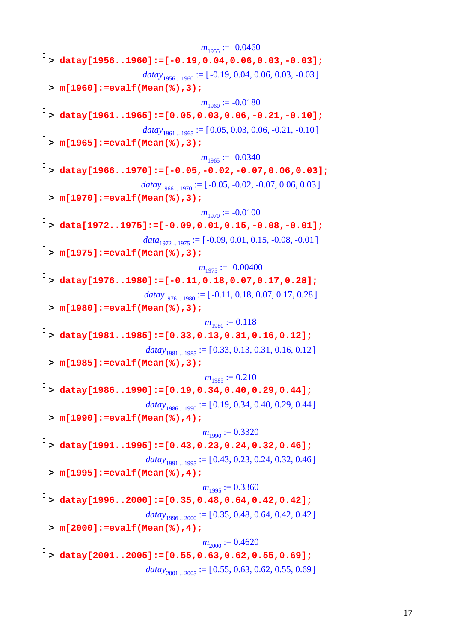$m_{1955} := -0.0460$ **> datay[1956..1960]:=[-0.19,0.04,0.06,0.03,-0.03];**  $\langle \text{datay}_{1956} \rangle$  := [-0.19, 0.04, 0.06, 0.03, -0.03] **> m[1960]:=evalf(Mean(%),3);**  $m_{1960} := -0.0180$ **> datay[1961..1965]:=[0.05,0.03,0.06,-0.21,-0.10];**  $datay_{1961..1965} := [0.05, 0.03, 0.06, -0.21, -0.10]$ **> m[1965]:=evalf(Mean(%),3);**  $m_{1965} := -0.0340$ **> datay[1966..1970]:=[-0.05,-0.02,-0.07,0.06,0.03];**  $\langle \textit{datay}_{1966\dots1970} \rangle := [-0.05, -0.02, -0.07, 0.06, 0.03]$ **> m[1970]:=evalf(Mean(%),3);**  $m_{1970} := -0.0100$ **> data[1972..1975]:=[-0.09,0.01,0.15,-0.08,-0.01];**  $data_{1972 \rightarrow 1975} := [-0.09, 0.01, 0.15, -0.08, -0.01]$ **> m[1975]:=evalf(Mean(%),3);**  $m_{1975} := -0.00400$ **> datay[1976..1980]:=[-0.11,0.18,0.07,0.17,0.28];**  $\langle \text{datay}_{1976..1980} \rangle := [-0.11, 0.18, 0.07, 0.17, 0.28]$ **> m[1980]:=evalf(Mean(%),3);**  $m_{1980} := 0.118$ **> datay[1981..1985]:=[0.33,0.13,0.31,0.16,0.12];**  $datay_{1981..1985} := [0.33, 0.13, 0.31, 0.16, 0.12]$ **> m[1985]:=evalf(Mean(%),3);**  $m_{1985} := 0.210$ **> datay[1986..1990]:=[0.19,0.34,0.40,0.29,0.44];**  $datay_{1986..1990} := [0.19, 0.34, 0.40, 0.29, 0.44]$ **> m[1990]:=evalf(Mean(%),4);**  $m_{1000} := 0.3320$ **> datay[1991..1995]:=[0.43,0.23,0.24,0.32,0.46];**  $datay_{1991..1995} := [0.43, 0.23, 0.24, 0.32, 0.46]$ **> m[1995]:=evalf(Mean(%),4);**  $m_{1995} := 0.3360$ **> datay[1996..2000]:=[0.35,0.48,0.64,0.42,0.42];**  $\langle \text{datay}_{1996} \rangle$  := [0.35, 0.48, 0.64, 0.42, 0.42] **> m[2000]:=evalf(Mean(%),4);**  $m_{2000} := 0.4620$ **> datay[2001..2005]:=[0.55,0.63,0.62,0.55,0.69];**  $datay_{2001}$   $_{2005}$  := [0.55, 0.63, 0.62, 0.55, 0.69]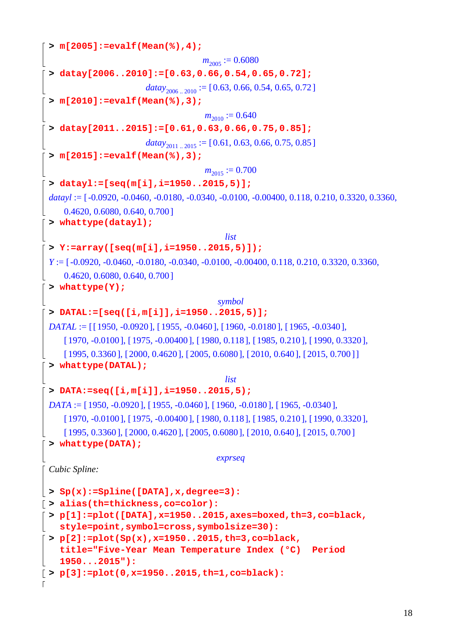```
> m[2005]:=evalf(Mean(%),4);
                                    m_{2005} := 0.6080> datay[2006..2010]:=[0.63,0.66,0.54,0.65,0.72];
                       datay_{2006} _{2010} := [0.63, 0.66, 0.54, 0.65, 0.72]
 > m[2010]:=evalf(Mean(%),3);
                                     m_{2010} := 0.640> datay[2011..2015]:=[0.61,0.63,0.66,0.75,0.85];
                       datay_{2011}<sub>...</sub>,<sub>2015</sub> := [0.61, 0.63, 0.66, 0.75, 0.85]
 > m[2015]:=evalf(Mean(%),3);
                                    m_{2015} := 0.700> datayl:=[seq(m[i],i=1950..2015,5)];
 datavl := [-0.0920, -0.0460, -0.0180, -0.0340, -0.0100, -0.00400, 0.118, 0.210, 0.3320, 0.3360,0.4620, 0.6080, 0.640, 0.700> whattype(datayl);
                                         list
 > Y:=array([seq(m[i],i=1950..2015,5)]);
 Y := [-0.0920, -0.0460, -0.0180, -0.0340, -0.0100, -0.00400, 0.118, 0.210, 0.3320, 0.3360,0.4620, 0.6080, 0.640, 0.700> whattype(Y);
                                       symbol
 > DATAL:=[seq([i,m[i]],i=1950..2015,5)];
 DATAL := [1950, -0.0920], [1955, -0.0460], [1960, -0.0180], [1965, -0.0340][1970, -0.0100], [1975, -0.00400], [1980, 0.118], [1985, 0.210], [1990, 0.3320],
     [1995, 0.3360], [2000, 0.4620], [2005, 0.6080], [2010, 0.640], [2015, 0.700]> whattype(DATAL);
                                         list
 > DATA:=seq([i,m[i]],i=1950..2015,5);
 DATA := [1950, -0.0920], [1955, -0.0460], [1960, -0.0180], [1965, -0.0340],[1970, -0.0100], [1975, -0.00400], [1980, 0.118], [1985, 0.210], [1990, 0.3320],
     [1995, 0.3360], [2000, 0.4620], [2005, 0.6080], [2010, 0.640], [2015, 0.700]> whattype(DATA); 
                                       exprseq
 Cubic Spline:
> Sp(x):=Spline([DATA],x,degree=3):
> alias(th=thickness,co=color):
 > p[1]:=plot([DATA],x=1950..2015,axes=boxed,th=3,co=black, 
   style=point,symbol=cross,symbolsize=30):
> p[2]:=plot(Sp(x),x=1950..2015,th=3,co=black, 
   title="Five-Year Mean Temperature Index (°C) Period 
    1950...2015"):
> p[3]:=plot(0,x=1950..2015,th=1,co=black):
```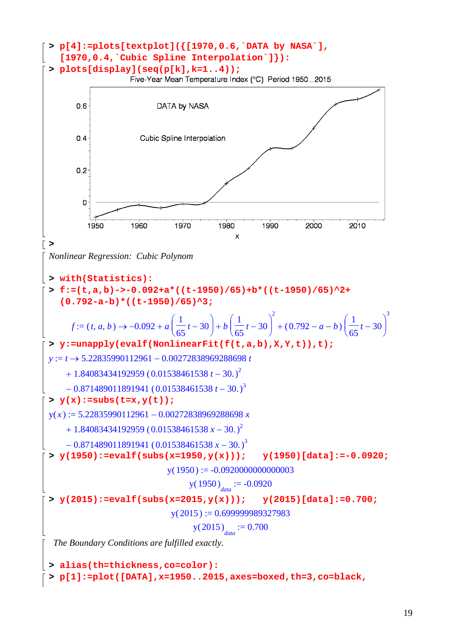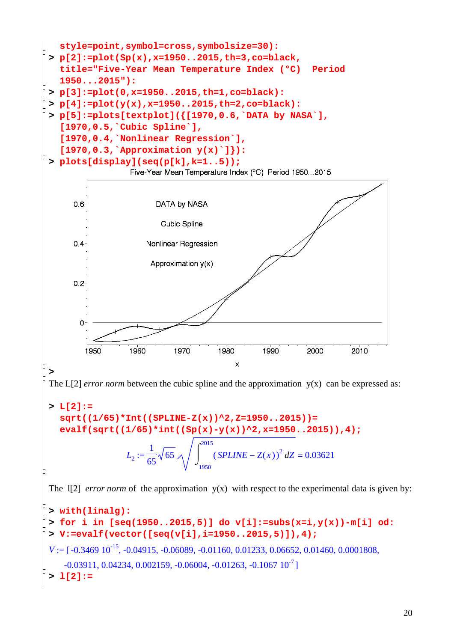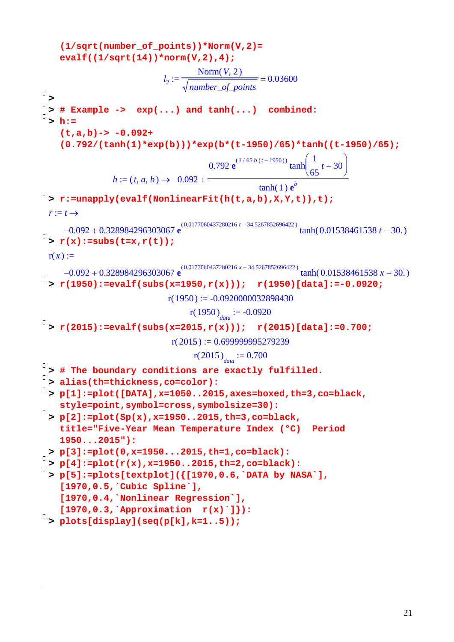```
(1/sqrt(number_of_points))*Norm(V,2)= 
    evalf((1/sqrt(14))*norm(V,2),4); 
                                 l_2 := \frac{2 \times 10^{24} \text{C} \cdot 1 \times 20^{24} \text{C} \cdot 1 \times 20^{24} \text{C} \cdot 1 \times 20^{24} \text{C} \cdot 1 \times 20^{24} \text{C} \cdot 1 \times 20^{24} \text{C} \cdot 1 \times 20^{24} \text{C} \cdot 1 \times 20^{24} \text{C} \cdot 1 \times 20^{24} \text{C} \cdot 1 \times 20^{24} \text{C} \cdot 1 \times 20^{24} \text{C} \cdot 1 \times 20^{24} \text{C}Norm(V, 2)number_of_points
                                                              0.03600
> 
\lceil > # Example -> \exp(\ldots) and \tanh(\ldots) combined:
 > h:= 
     (t,a,b)-> -0.092+ 
     (0.792/(tanh(1)*exp(b)))*exp(b*(t-1950)/65)*tanh((t-1950)/65);
                   h := (t, a, b) \rightarrow -0.092 +0.792 e
                                                     (1/65 b (t-1950)) <sup>(</sup>
                                                                    \tanh\left(\frac{1}{65}t-30\right)t - 30tanh(1) e^{b}> r:=unapply(evalf(NonlinearFit(h(t,a,b),X,Y,t)),t);
  r := t \rightarrow-0.092 + 0.328984296303067 e<sup>(0.0177060437280216 t − 34.5267852696422) tanh( 0.01538461538 t − 30.)</sup>
  > r(x):=subs(t=x,r(t));r(x) :=-0.092 + 0.328984296303067 e<sup>(0.0177060437280216 x − 34.5267852696422) tanh( 0.01538461538 x − 30.)</sup>
  > r(1950):=evalf(subs(x=1950,r(x))); r(1950)[data]:=-0.0920;
                                  r(1950) := -0.0920000032898430r(1950)<sub>data</sub> := -0.0920
 > r(2015):=evalf(subs(x=2015,r(x))); r(2015)[data]:=0.700;
                                   r(2015) := 0.699999995279239r(2015)<sub>data</sub> := 0.700
> # The boundary conditions are exactly fulfilled.
> alias(th=thickness,co=color):
 > p[1]:=plot([DATA],x=1050..2015,axes=boxed,th=3,co=black, 
    style=point,symbol=cross,symbolsize=30):
> p[2]:=plot(Sp(x),x=1950..2015,th=3,co=black, 
    title="Five-Year Mean Temperature Index (°C) Period 
    1950...2015"):
> p[3]:=plot(0,x=1950...2015,th=1,co=black):
> p[4]:=plot(r(x),x=1950..2015,th=2,co=black):
> p[5]:=plots[textplot]({[1970,0.6,`DATA by NASA`], 
     [1970,0.5,`Cubic Spline`], 
     [1970,0.4,`Nonlinear Regression`], 
    [1970,0.3,`Approximation r(x)`]}):
\lceil > plots[display](seq(p[k],k=1..5));
```